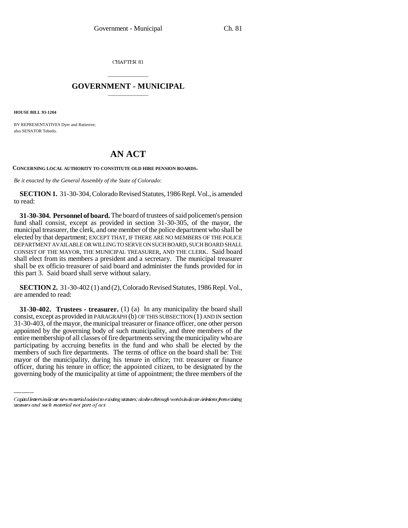CHAPTER 81

## \_\_\_\_\_\_\_\_\_\_\_\_\_\_\_ **GOVERNMENT - MUNICIPAL** \_\_\_\_\_\_\_\_\_\_\_\_\_\_\_

**HOUSE BILL 93-1204**

BY REPRESENTATIVES Dyer and Ratterree; also SENATOR Tebedo.

## **AN ACT**

**CONCERNING LOCAL AUTHORITY TO CONSTITUTE OLD HIRE PENSION BOARDS.**

*Be it enacted by the General Assembly of the State of Colorado:*

**SECTION 1.** 31-30-304, Colorado Revised Statutes, 1986 Repl. Vol., is amended to read:

**31-30-304. Personnel of board.** The board of trustees of said policemen's pension fund shall consist, except as provided in section 31-30-305, of the mayor, the municipal treasurer, the clerk, and one member of the police department who shall be elected by that department; EXCEPT THAT, IF THERE ARE NO MEMBERS OF THE POLICE DEPARTMENT AVAILABLE OR WILLING TO SERVE ON SUCH BOARD, SUCH BOARD SHALL CONSIST OF THE MAYOR, THE MUNICIPAL TREASURER, AND THE CLERK. Said board shall elect from its members a president and a secretary. The municipal treasurer shall be ex officio treasurer of said board and administer the funds provided for in this part 3. Said board shall serve without salary.

**SECTION 2.** 31-30-402 (1) and (2), Colorado Revised Statutes, 1986 Repl. Vol., are amended to read:

participating by accruing benefits in the fund and who shall be elected by the **31-30-402. Trustees - treasurer.** (1) (a) In any municipality the board shall consist, except as provided in PARAGRAPH  $(b)$  OF THIS SUBSECTION  $(1)$  AND IN section 31-30-403, of the mayor, the municipal treasurer or finance officer, one other person appointed by the governing body of such municipality, and three members of the entire membership of all classes of fire departments serving the municipality who are members of such fire departments. The terms of office on the board shall be: THE mayor of the municipality, during his tenure in office; THE treasurer or finance officer, during his tenure in office; the appointed citizen, to be designated by the governing body of the municipality at time of appointment; the three members of the

Capital letters indicate new material added to existing statutes; dashes through words indicate deletions from existing statutes and such material not part of act.